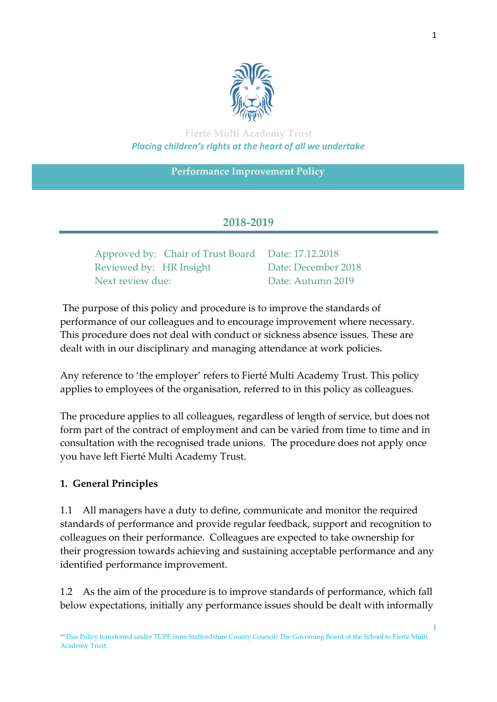

**Fierté Multi Academy Trust** *Placing children's rights at the heart of all we undertake*

**Performance Improvement Policy**

# **2018-2019**

Approved by: Chair of Trust Board Date: 17.12.2018 Reviewed by: HR Insight Date: December 2018 Next review due: Date: Autumn 2019

The purpose of this policy and procedure is to improve the standards of performance of our colleagues and to encourage improvement where necessary. This procedure does not deal with conduct or sickness absence issues. These are dealt with in our disciplinary and managing attendance at work policies.

Any reference to 'the employer' refers to Fierté Multi Academy Trust. This policy applies to employees of the organisation, referred to in this policy as colleagues.

The procedure applies to all colleagues, regardless of length of service, but does not form part of the contract of employment and can be varied from time to time and in consultation with the recognised trade unions. The procedure does not apply once you have left Fierté Multi Academy Trust.

## **1. General Principles**

1.1 All managers have a duty to define, communicate and monitor the required standards of performance and provide regular feedback, support and recognition to colleagues on their performance. Colleagues are expected to take ownership for their progression towards achieving and sustaining acceptable performance and any identified performance improvement.

1.2 As the aim of the procedure is to improve standards of performance, which fall below expectations, initially any performance issues should be dealt with informally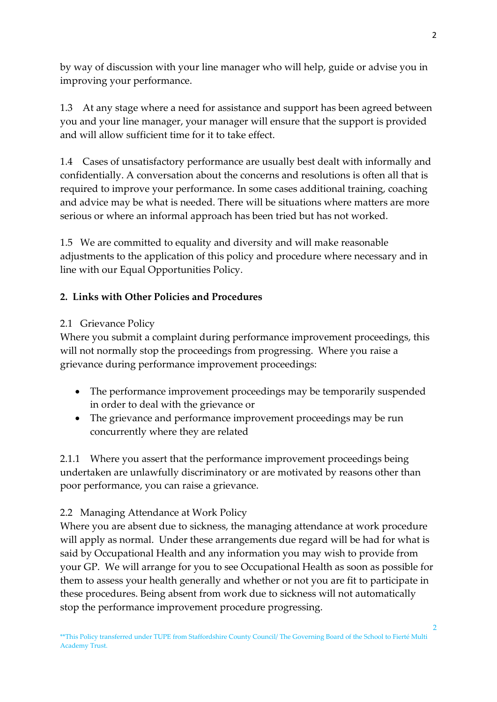by way of discussion with your line manager who will help, guide or advise you in improving your performance.

1.3 At any stage where a need for assistance and support has been agreed between you and your line manager, your manager will ensure that the support is provided and will allow sufficient time for it to take effect.

1.4 Cases of unsatisfactory performance are usually best dealt with informally and confidentially. A conversation about the concerns and resolutions is often all that is required to improve your performance. In some cases additional training, coaching and advice may be what is needed. There will be situations where matters are more serious or where an informal approach has been tried but has not worked.

1.5 We are committed to equality and diversity and will make reasonable adjustments to the application of this policy and procedure where necessary and in line with our Equal Opportunities Policy.

## **2. Links with Other Policies and Procedures**

## 2.1 Grievance Policy

Where you submit a complaint during performance improvement proceedings, this will not normally stop the proceedings from progressing. Where you raise a grievance during performance improvement proceedings:

- The performance improvement proceedings may be temporarily suspended in order to deal with the grievance or
- The grievance and performance improvement proceedings may be run concurrently where they are related

2.1.1 Where you assert that the performance improvement proceedings being undertaken are unlawfully discriminatory or are motivated by reasons other than poor performance, you can raise a grievance.

## 2.2 Managing Attendance at Work Policy

Where you are absent due to sickness, the managing attendance at work procedure will apply as normal. Under these arrangements due regard will be had for what is said by Occupational Health and any information you may wish to provide from your GP. We will arrange for you to see Occupational Health as soon as possible for them to assess your health generally and whether or not you are fit to participate in these procedures. Being absent from work due to sickness will not automatically stop the performance improvement procedure progressing.

 $\overline{2}$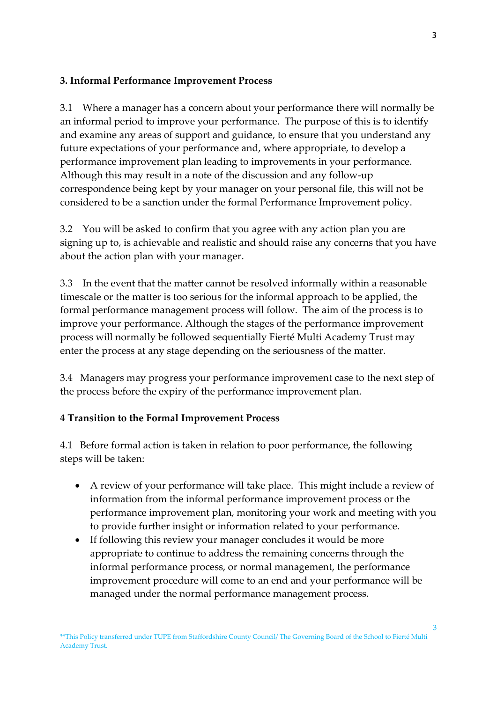#### **3. Informal Performance Improvement Process**

3.1 Where a manager has a concern about your performance there will normally be an informal period to improve your performance. The purpose of this is to identify and examine any areas of support and guidance, to ensure that you understand any future expectations of your performance and, where appropriate, to develop a performance improvement plan leading to improvements in your performance. Although this may result in a note of the discussion and any follow-up correspondence being kept by your manager on your personal file, this will not be considered to be a sanction under the formal Performance Improvement policy.

3.2 You will be asked to confirm that you agree with any action plan you are signing up to, is achievable and realistic and should raise any concerns that you have about the action plan with your manager.

3.3 In the event that the matter cannot be resolved informally within a reasonable timescale or the matter is too serious for the informal approach to be applied, the formal performance management process will follow. The aim of the process is to improve your performance. Although the stages of the performance improvement process will normally be followed sequentially Fierté Multi Academy Trust may enter the process at any stage depending on the seriousness of the matter.

3.4 Managers may progress your performance improvement case to the next step of the process before the expiry of the performance improvement plan.

#### **4 Transition to the Formal Improvement Process**

4.1 Before formal action is taken in relation to poor performance, the following steps will be taken:

- A review of your performance will take place. This might include a review of information from the informal performance improvement process or the performance improvement plan, monitoring your work and meeting with you to provide further insight or information related to your performance.
- If following this review your manager concludes it would be more appropriate to continue to address the remaining concerns through the informal performance process, or normal management, the performance improvement procedure will come to an end and your performance will be managed under the normal performance management process.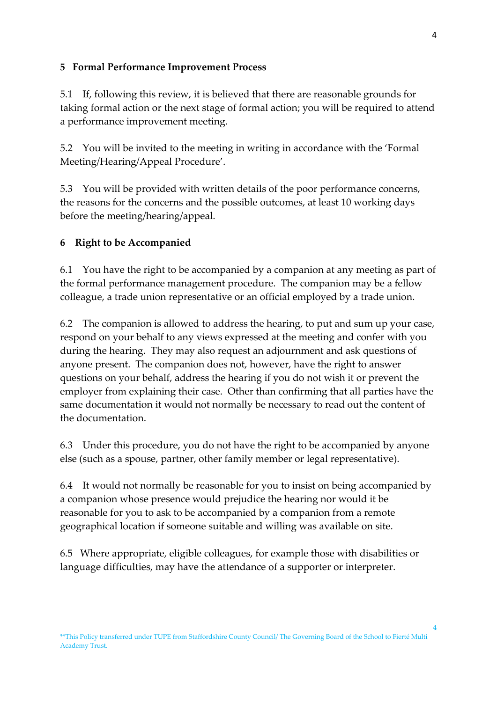#### **5 Formal Performance Improvement Process**

5.1 If, following this review, it is believed that there are reasonable grounds for taking formal action or the next stage of formal action; you will be required to attend a performance improvement meeting.

5.2 You will be invited to the meeting in writing in accordance with the 'Formal Meeting/Hearing/Appeal Procedure'.

5.3 You will be provided with written details of the poor performance concerns, the reasons for the concerns and the possible outcomes, at least 10 working days before the meeting/hearing/appeal.

#### **6 Right to be Accompanied**

6.1 You have the right to be accompanied by a companion at any meeting as part of the formal performance management procedure. The companion may be a fellow colleague, a trade union representative or an official employed by a trade union.

6.2 The companion is allowed to address the hearing, to put and sum up your case, respond on your behalf to any views expressed at the meeting and confer with you during the hearing. They may also request an adjournment and ask questions of anyone present. The companion does not, however, have the right to answer questions on your behalf, address the hearing if you do not wish it or prevent the employer from explaining their case. Other than confirming that all parties have the same documentation it would not normally be necessary to read out the content of the documentation.

6.3 Under this procedure, you do not have the right to be accompanied by anyone else (such as a spouse, partner, other family member or legal representative).

6.4 It would not normally be reasonable for you to insist on being accompanied by a companion whose presence would prejudice the hearing nor would it be reasonable for you to ask to be accompanied by a companion from a remote geographical location if someone suitable and willing was available on site.

6.5 Where appropriate, eligible colleagues, for example those with disabilities or language difficulties, may have the attendance of a supporter or interpreter.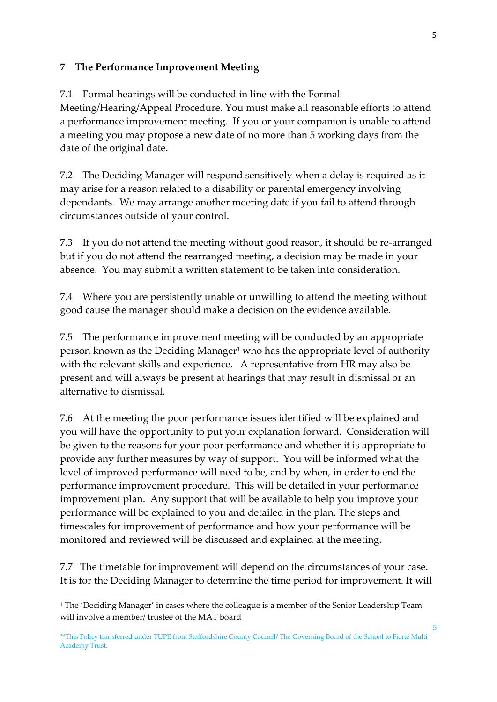## **7 The Performance Improvement Meeting**

7.1 Formal hearings will be conducted in line with the Formal Meeting/Hearing/Appeal Procedure. You must make all reasonable efforts to attend a performance improvement meeting. If you or your companion is unable to attend a meeting you may propose a new date of no more than 5 working days from the date of the original date.

7.2 The Deciding Manager will respond sensitively when a delay is required as it may arise for a reason related to a disability or parental emergency involving dependants. We may arrange another meeting date if you fail to attend through circumstances outside of your control.

7.3 If you do not attend the meeting without good reason, it should be re-arranged but if you do not attend the rearranged meeting, a decision may be made in your absence. You may submit a written statement to be taken into consideration.

7.4 Where you are persistently unable or unwilling to attend the meeting without good cause the manager should make a decision on the evidence available.

7.5 The performance improvement meeting will be conducted by an appropriate person known as the Deciding Manager<sup>1</sup> who has the appropriate level of authority with the relevant skills and experience. A representative from HR may also be present and will always be present at hearings that may result in dismissal or an alternative to dismissal.

7.6 At the meeting the poor performance issues identified will be explained and you will have the opportunity to put your explanation forward. Consideration will be given to the reasons for your poor performance and whether it is appropriate to provide any further measures by way of support. You will be informed what the level of improved performance will need to be, and by when, in order to end the performance improvement procedure. This will be detailed in your performance improvement plan. Any support that will be available to help you improve your performance will be explained to you and detailed in the plan. The steps and timescales for improvement of performance and how your performance will be monitored and reviewed will be discussed and explained at the meeting.

7.7 The timetable for improvement will depend on the circumstances of your case. It is for the Deciding Manager to determine the time period for improvement. It will

1

<sup>&</sup>lt;sup>1</sup> The 'Deciding Manager' in cases where the colleague is a member of the Senior Leadership Team will involve a member/ trustee of the MAT board

<sup>\*\*</sup>This Policy transferred under TUPE from Staffordshire County Council/ The Governing Board of the School to Fierté Multi Academy Trust.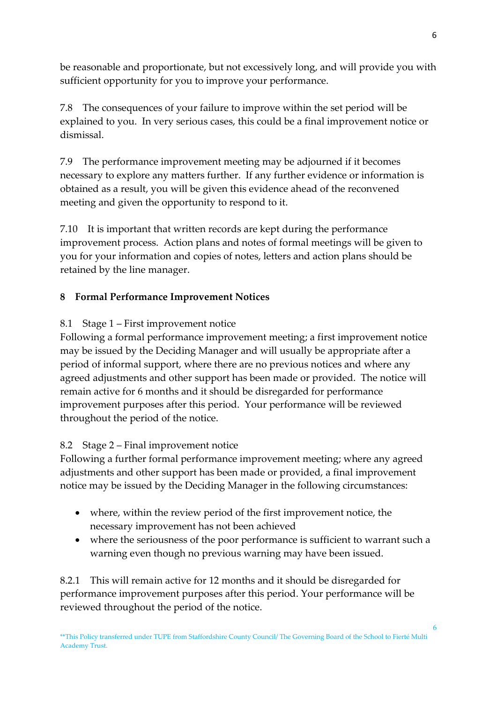be reasonable and proportionate, but not excessively long, and will provide you with sufficient opportunity for you to improve your performance.

7.8 The consequences of your failure to improve within the set period will be explained to you. In very serious cases, this could be a final improvement notice or dismissal.

7.9 The performance improvement meeting may be adjourned if it becomes necessary to explore any matters further. If any further evidence or information is obtained as a result, you will be given this evidence ahead of the reconvened meeting and given the opportunity to respond to it.

7.10 It is important that written records are kept during the performance improvement process. Action plans and notes of formal meetings will be given to you for your information and copies of notes, letters and action plans should be retained by the line manager.

## **8 Formal Performance Improvement Notices**

## 8.1 Stage 1 – First improvement notice

Following a formal performance improvement meeting; a first improvement notice may be issued by the Deciding Manager and will usually be appropriate after a period of informal support, where there are no previous notices and where any agreed adjustments and other support has been made or provided. The notice will remain active for 6 months and it should be disregarded for performance improvement purposes after this period. Your performance will be reviewed throughout the period of the notice.

## 8.2 Stage 2 – Final improvement notice

Following a further formal performance improvement meeting; where any agreed adjustments and other support has been made or provided, a final improvement notice may be issued by the Deciding Manager in the following circumstances:

- where, within the review period of the first improvement notice, the necessary improvement has not been achieved
- where the seriousness of the poor performance is sufficient to warrant such a warning even though no previous warning may have been issued.

8.2.1 This will remain active for 12 months and it should be disregarded for performance improvement purposes after this period. Your performance will be reviewed throughout the period of the notice.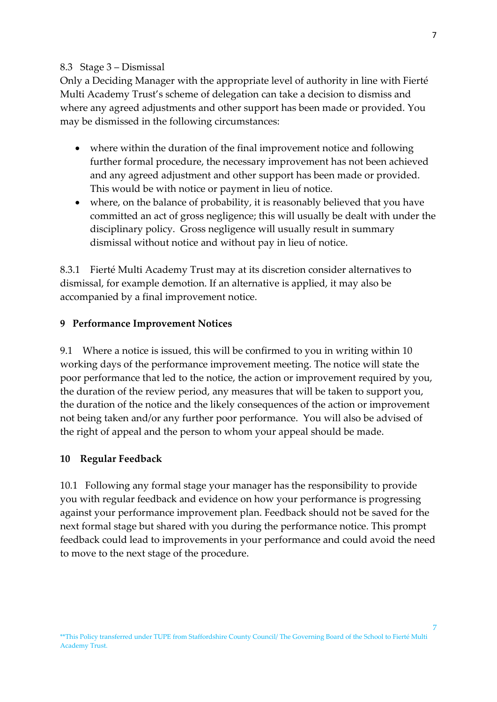#### 8.3 Stage 3 – Dismissal

Only a Deciding Manager with the appropriate level of authority in line with Fierté Multi Academy Trust's scheme of delegation can take a decision to dismiss and where any agreed adjustments and other support has been made or provided. You may be dismissed in the following circumstances:

- where within the duration of the final improvement notice and following further formal procedure, the necessary improvement has not been achieved and any agreed adjustment and other support has been made or provided. This would be with notice or payment in lieu of notice.
- where, on the balance of probability, it is reasonably believed that you have committed an act of gross negligence; this will usually be dealt with under the disciplinary policy. Gross negligence will usually result in summary dismissal without notice and without pay in lieu of notice.

8.3.1 Fierté Multi Academy Trust may at its discretion consider alternatives to dismissal, for example demotion. If an alternative is applied, it may also be accompanied by a final improvement notice.

#### **9 Performance Improvement Notices**

9.1 Where a notice is issued, this will be confirmed to you in writing within 10 working days of the performance improvement meeting. The notice will state the poor performance that led to the notice, the action or improvement required by you, the duration of the review period, any measures that will be taken to support you, the duration of the notice and the likely consequences of the action or improvement not being taken and/or any further poor performance. You will also be advised of the right of appeal and the person to whom your appeal should be made.

#### **10 Regular Feedback**

10.1 Following any formal stage your manager has the responsibility to provide you with regular feedback and evidence on how your performance is progressing against your performance improvement plan. Feedback should not be saved for the next formal stage but shared with you during the performance notice. This prompt feedback could lead to improvements in your performance and could avoid the need to move to the next stage of the procedure.